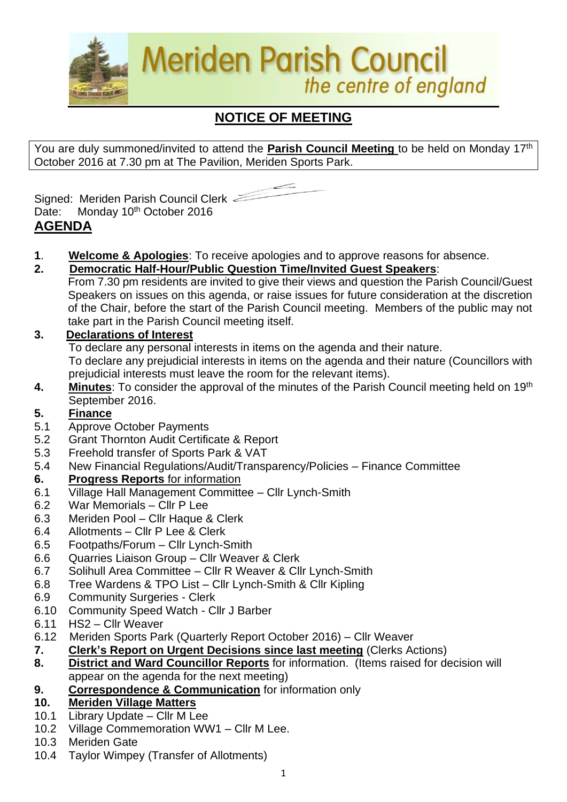

# **NOTICE OF MEETING**

You are duly summoned/invited to attend the **Parish Council Meeting** to be held on Monday 17th October 2016 at 7.30 pm at The Pavilion, Meriden Sports Park.



Signed: Meriden Parish Council Clerk Date: Monday 10<sup>th</sup> October 2016 **AGENDA**

- **1**. **Welcome & Apologies**: To receive apologies and to approve reasons for absence.
- **2. Democratic Half-Hour/Public Question Time/Invited Guest Speakers**:
	- From 7.30 pm residents are invited to give their views and question the Parish Council/Guest Speakers on issues on this agenda, or raise issues for future consideration at the discretion of the Chair, before the start of the Parish Council meeting. Members of the public may not take part in the Parish Council meeting itself.

#### **3. Declarations of Interest**

To declare any personal interests in items on the agenda and their nature.

To declare any prejudicial interests in items on the agenda and their nature (Councillors with prejudicial interests must leave the room for the relevant items).

**4. Minutes**: To consider the approval of the minutes of the Parish Council meeting held on 19th September 2016.

## **5. Finance**

- 5.1 Approve October Payments
- 5.2 Grant Thornton Audit Certificate & Report
- 5.3 Freehold transfer of Sports Park & VAT
- 5.4 New Financial Regulations/Audit/Transparency/Policies Finance Committee

#### **6. Progress Reports** for information

- 6.1 Village Hall Management Committee Cllr Lynch-Smith
- 6.2 War Memorials Cllr P Lee
- 6.3 Meriden Pool Cllr Haque & Clerk
- 6.4 Allotments Cllr P Lee & Clerk
- 6.5 Footpaths/Forum Cllr Lynch-Smith
- 6.6 Quarries Liaison Group Cllr Weaver & Clerk
- 6.7 Solihull Area Committee Cllr R Weaver & Cllr Lynch-Smith
- 6.8 Tree Wardens & TPO List Cllr Lynch-Smith & Cllr Kipling
- 6.9 Community Surgeries Clerk
- 6.10 Community Speed Watch Cllr J Barber
- 6.11 HS2 Cllr Weaver
- 6.12Meriden Sports Park (Quarterly Report October 2016) Cllr Weaver
- **7. Clerk's Report on Urgent Decisions since last meeting** (Clerks Actions)
- **8. District and Ward Councillor Reports** for information. (Items raised for decision will appear on the agenda for the next meeting)
- **9. Correspondence & Communication** for information only

## **10. Meriden Village Matters**

- 10.1 Library Update Cllr M Lee
- 10.2 Village Commemoration WW1 Cllr M Lee.
- 10.3 Meriden Gate
- 10.4 Taylor Wimpey (Transfer of Allotments)